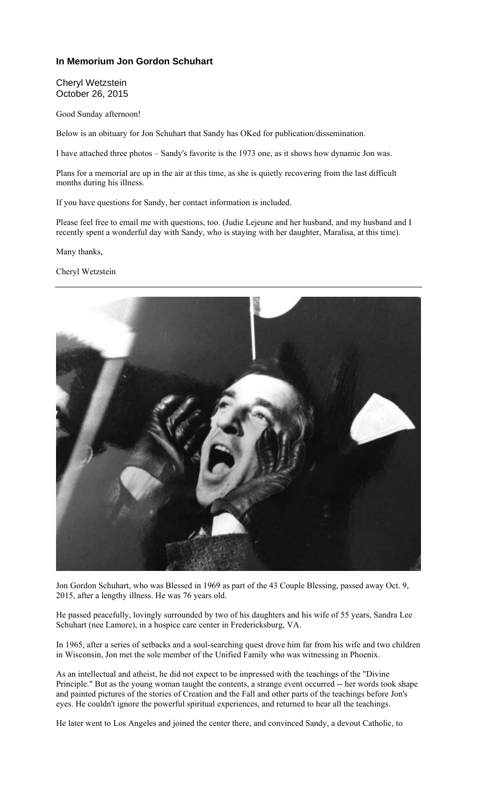## **In Memorium Jon Gordon Schuhart**

Cheryl Wetzstein October 26, 2015

Good Sunday afternoon!

Below is an obituary for Jon Schuhart that Sandy has OKed for publication/dissemination.

I have attached three photos – Sandy's favorite is the 1973 one, as it shows how dynamic Jon was.

Plans for a memorial are up in the air at this time, as she is quietly recovering from the last difficult months during his illness.

If you have questions for Sandy, her contact information is included.

Please feel free to email me with questions, too. (Judie Lejeune and her husband, and my husband and I recently spent a wonderful day with Sandy, who is staying with her daughter, Maralisa, at this time).

Many thanks,

Cheryl Wetzstein



Jon Gordon Schuhart, who was Blessed in 1969 as part of the 43 Couple Blessing, passed away Oct. 9, 2015, after a lengthy illness. He was 76 years old.

He passed peacefully, lovingly surrounded by two of his daughters and his wife of 55 years, Sandra Lee Schuhart (nee Lamore), in a hospice care center in Fredericksburg, VA.

In 1965, after a series of setbacks and a soul-searching quest drove him far from his wife and two children in Wisconsin, Jon met the sole member of the Unified Family who was witnessing in Phoenix.

As an intellectual and atheist, he did not expect to be impressed with the teachings of the "Divine Principle." But as the young woman taught the contents, a strange event occurred -- her words took shape and painted pictures of the stories of Creation and the Fall and other parts of the teachings before Jon's eyes. He couldn't ignore the powerful spiritual experiences, and returned to hear all the teachings.

He later went to Los Angeles and joined the center there, and convinced Sandy, a devout Catholic, to